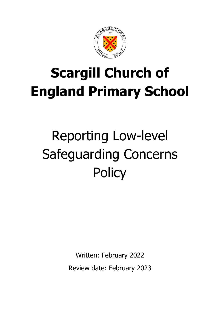

# **Scargill Church of England Primary School**

# Reporting Low-level Safeguarding Concerns **Policy**

Written: February 2022

Review date: February 2023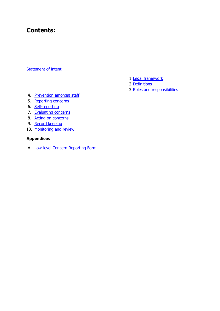# **Contents:**

#### [Statement of intent](#page-2-0)

- 1. Legal framework
- 2[.Definitions](#page-3-1)
- 3[.Roles and responsibilities](#page-3-2)

- 4. [Prevention amongst staff](#page-5-0)
- 5. [Reporting concerns](#page-6-0)
- 6. [Self-reporting](#page-7-0)
- 7. [Evaluating concerns](#page-7-1)
- 8. [Acting on concerns](#page-8-0)
- 9. [Record keeping](#page-10-0)
- 10. [Monitoring and review](#page-11-0)

## **Appendices**

A. [Low-level Concern Reporting Form](#page-12-0)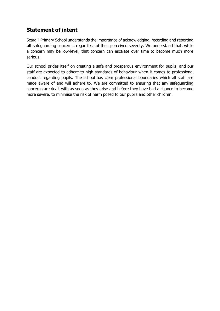## <span id="page-2-0"></span>**Statement of intent**

Scargill Primary School understands the importance of acknowledging, recording and reporting **all** safeguarding concerns, regardless of their perceived severity. We understand that, while a concern may be low-level, that concern can escalate over time to become much more serious.

Our school prides itself on creating a safe and prosperous environment for pupils, and our staff are expected to adhere to high standards of behaviour when it comes to professional conduct regarding pupils. The school has clear professional boundaries which all staff are made aware of and will adhere to. We are committed to ensuring that any safeguarding concerns are dealt with as soon as they arise and before they have had a chance to become more severe, to minimise the risk of harm posed to our pupils and other children.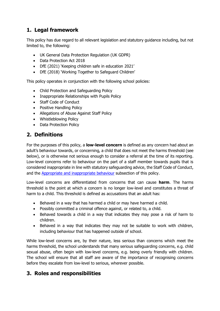## <span id="page-3-0"></span>**1. Legal framework**

This policy has due regard to all relevant legislation and statutory guidance including, but not limited to, the following:

- UK General Data Protection Regulation (UK GDPR)
- Data Protection Act 2018
- DfE (2021) 'Keeping children safe in education 2021'
- DfE (2018) 'Working Together to Safeguard Children'

This policy operates in conjunction with the following school policies:

- Child Protection and Safeguarding Policy
- Inappropriate Relationships with Pupils Policy
- Staff Code of Conduct
- Positive Handling Policy
- Allegations of Abuse Against Staff Policy
- Whistleblowing Policy
- Data Protection Policy

## <span id="page-3-1"></span>**2. Definitions**

For the purposes of this policy, a **low-level concern** is defined as any concern had about an adult's behaviour towards, or concerning, a child that does not meet the harms threshold (see below), or is otherwise not serious enough to consider a referral at the time of its reporting. Low-level concerns refer to behaviour on the part of a staff member towards pupils that is considered inappropriate in line with statutory safeguarding advice, the Staff Code of Conduct, and the [Appropriate and inappropriate behaviour](#page-5-1) subsection of this policy.

Low-level concerns are differentiated from concerns that can cause **harm**. The harms threshold is the point at which a concern is no longer low-level and constitutes a threat of harm to a child. This threshold is defined as accusations that an adult has:

- Behaved in a way that has harmed a child or may have harmed a child.
- Possibly committed a criminal offence against, or related to, a child.
- Behaved towards a child in a way that indicates they may pose a risk of harm to children.
- Behaved in a way that indicates they may not be suitable to work with children, including behaviour that has happened outside of school.

While low-level concerns are, by their nature, less serious than concerns which meet the harms threshold, the school understands that many serious safeguarding concerns, e.g. child sexual abuse, often begin with low-level concerns, e.g. being overly friendly with children. The school will ensure that all staff are aware of the importance of recognising concerns before they escalate from low-level to serious, wherever possible.

## <span id="page-3-2"></span>**3. Roles and responsibilities**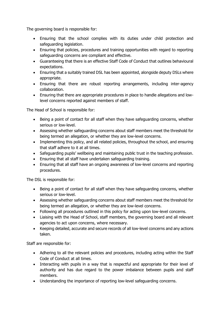The governing board is responsible for:

- Ensuring that the school complies with its duties under child protection and safeguarding legislation.
- Ensuring that policies, procedures and training opportunities with regard to reporting safeguarding concerns are compliant and effective.
- Guaranteeing that there is an effective Staff Code of Conduct that outlines behavioural expectations.
- Ensuring that a suitably trained DSL has been appointed, alongside deputy DSLs where appropriate.
- Ensuring that there are robust reporting arrangements, including inter-agency collaboration.
- Ensuring that there are appropriate procedures in place to handle allegations and lowlevel concerns reported against members of staff.

The Head of School is responsible for:

- Being a point of contact for all staff when they have safeguarding concerns, whether serious or low-level.
- Assessing whether safeguarding concerns about staff members meet the threshold for being termed an allegation, or whether they are low-level concerns.
- Implementing this policy, and all related policies, throughout the school, and ensuring that staff adhere to it at all times.
- Safeguarding pupils' wellbeing and maintaining public trust in the teaching profession.
- Ensuring that all staff have undertaken safeguarding training.
- Ensuring that all staff have an ongoing awareness of low-level concerns and reporting procedures.

The DSL is responsible for:

- Being a point of contact for all staff when they have safeguarding concerns, whether serious or low-level.
- Assessing whether safeguarding concerns about staff members meet the threshold for being termed an allegation, or whether they are low-level concerns.
- Following all procedures outlined in this policy for acting upon low-level concerns.
- Liaising with the Head of School, staff members, the governing board and all relevant agencies to act upon concerns, where necessary.
- Keeping detailed, accurate and secure records of all low-level concerns and any actions taken.

Staff are responsible for:

- Adhering to all the relevant policies and procedures, including acting within the Staff Code of Conduct at all times.
- Interacting with pupils in a way that is respectful and appropriate for their level of authority and has due regard to the power imbalance between pupils and staff members.
- Understanding the importance of reporting low-level safeguarding concerns.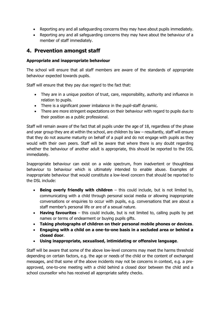- Reporting any and all safeguarding concerns they may have about pupils immediately.
- Reporting any and all safeguarding concerns they may have about the behaviour of a member of staff immediately.

## <span id="page-5-0"></span>**4. Prevention amongst staff**

## <span id="page-5-1"></span>**Appropriate and inappropriate behaviour**

The school will ensure that all staff members are aware of the standards of appropriate behaviour expected towards pupils.

Staff will ensure that they pay due regard to the fact that:

- They are in a unique position of trust, care, responsibility, authority and influence in relation to pupils.
- There is a significant power imbalance in the pupil-staff dynamic.
- There are more stringent expectations on their behaviour with regard to pupils due to their position as a public professional.

Staff will remain aware of the fact that all pupils under the age of 18, regardless of the phase and year group they are at within the school, are children by law – resultantly, staff will ensure that they do not assume maturity on behalf of a pupil and do not engage with pupils as they would with their own peers. Staff will be aware that where there is any doubt regarding whether the behaviour of another adult is appropriate, this should be reported to the DSL immediately.

Inappropriate behaviour can exist on a wide spectrum, from inadvertent or thoughtless behaviour to behaviour which is ultimately intended to enable abuse. Examples of inappropriate behaviour that would constitute a low-level concern that should be reported to the DSL include:

- **Being overly friendly with children** this could include, but is not limited to, communicating with a child through personal social media or allowing inappropriate conversations or enquiries to occur with pupils, e.g. conversations that are about a staff member's personal life or are of a sexual nature.
- **Having favourites** this could include, but is not limited to, calling pupils by pet names or terms of endearment or buying pupils gifts.
- **Taking photographs of children on their personal mobile phones or devices**.
- **Engaging with a child on a one-to-one basis in a secluded area or behind a closed door**.
- **Using inappropriate, sexualised, intimidating or offensive language**.

Staff will be aware that some of the above low-level concerns may meet the harms threshold depending on certain factors, e.g. the age or needs of the child or the content of exchanged messages, and that some of the above incidents may not be concerns in context, e.g. a preapproved, one-to-one meeting with a child behind a closed door between the child and a school counsellor who has received all appropriate safety checks.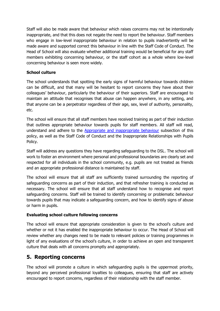Staff will also be made aware that behaviour which raises concerns may not be intentionally inappropriate, and that this does not negate the need to report the behaviour. Staff members who engage in low-level inappropriate behaviour in relation to pupils inadvertently will be made aware and supported correct this behaviour in line with the Staff Code of Conduct. The Head of School will also evaluate whether additional training would be beneficial for any staff members exhibiting concerning behaviour, or the staff cohort as a whole where low-level concerning behaviour is seen more widely.

### **School culture**

The school understands that spotting the early signs of harmful behaviour towards children can be difficult, and that many will be hesitant to report concerns they have about their colleagues' behaviour, particularly the behaviour of their superiors. Staff are encouraged to maintain an attitude that recognises that abuse can happen anywhere, in any setting, and that anyone can be a perpetrator regardless of their age, sex, level of authority, personality, etc.

The school will ensure that all staff members have received training as part of their induction that outlines appropriate behaviour towards pupils for staff members. All staff will read, understand and adhere to the Appropriate [and inappropriate](#page-5-1) behaviour subsection of this policy, as well as the Staff Code of Conduct and the Inappropriate Relationships with Pupils Policy.

Staff will address any questions they have regarding safeguarding to the DSL. The school will work to foster an environment where personal and professional boundaries are clearly set and respected for all individuals in the school community, e.g. pupils are not treated as friends and an appropriate professional distance is maintained by staff.

The school will ensure that all staff are sufficiently trained surrounding the reporting of safeguarding concerns as part of their induction, and that refresher training is conducted as necessary. The school will ensure that all staff understand how to recognise and report safeguarding concerns. Staff will be trained to identify concerning or problematic behaviour towards pupils that may indicate a safeguarding concern, and how to identify signs of abuse or harm in pupils.

#### **Evaluating school culture following concerns**

The school will ensure that appropriate consideration is given to the school's culture and whether or not it has enabled the inappropriate behaviour to occur. The Head of School will review whether any changes need to be made to relevant policies or training programmes in light of any evaluations of the school's culture, in order to achieve an open and transparent culture that deals with all concerns promptly and appropriately.

## <span id="page-6-0"></span>**5. Reporting concerns**

The school will promote a culture in which safeguarding pupils is the uppermost priority, beyond any perceived professional loyalties to colleagues, ensuring that staff are actively encouraged to report concerns, regardless of their relationship with the staff member.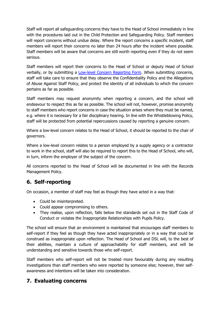Staff will report all safeguarding concerns they have to the Head of School immediately in line with the procedures laid out in the Child Protection and Safeguarding Policy. Staff members will report concerns without undue delay. Where the report concerns a specific incident, staff members will report their concerns no later than 24 hours after the incident where possible. Staff members will be aware that concerns are still worth reporting even if they do not seem serious.

Staff members will report their concerns to the Head of School or deputy Head of School verbally, or by submitting a [Low-level Concern Reporting Form.](#page-12-0) When submitting concerns, staff will take care to ensure that they observe the Confidentiality Policy and the Allegations of Abuse Against Staff Policy, and protect the identity of all individuals to which the concern pertains as far as possible.

Staff members may request anonymity when reporting a concern, and the school will endeavour to respect this as far as possible. The school will not, however, promise anonymity to staff members who report concerns in case the situation arises where they must be named, e.g. where it is necessary for a fair disciplinary hearing. In line with the Whistleblowing Policy, staff will be protected from potential repercussions caused by reporting a genuine concern.

Where a low-level concern relates to the Head of School, it should be reported to the chair of governors.

Where a low-level concern relates to a person employed by a supply agency or a contractor to work in the school, staff will also be required to report this to the Head of School, who will, in turn, inform the employer of the subject of the concern.

All concerns reported to the Head of School will be documented in line with the Records Management Policy.

## <span id="page-7-0"></span>**6. Self-reporting**

On occasion, a member of staff may feel as though they have acted in a way that:

- Could be misinterpreted.
- Could appear compromising to others.
- They realise, upon reflection, falls below the standards set out in the Staff Code of Conduct or violates the Inappropriate Relationships with Pupils Policy.

The school will ensure that an environment is maintained that encourages staff members to self-report if they feel as though they have acted inappropriately or in a way that could be construed as inappropriate upon reflection. The Head of School and DSL will, to the best of their abilities, maintain a culture of approachability for staff members, and will be understanding and sensitive towards those who self-report.

Staff members who self-report will not be treated more favourably during any resulting investigations than staff members who were reported by someone else; however, their selfawareness and intentions will be taken into consideration.

## <span id="page-7-1"></span>**7. Evaluating concerns**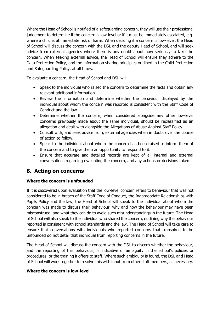Where the Head of School is notified of a safeguarding concern, they will use their professional judgement to determine if the concern is low-level or if it must be immediately escalated, e.g. where a child is at immediate risk of harm. When deciding if a concern is low-level, the Head of School will discuss the concern with the DSL and the deputy Head of School, and will seek advice from external agencies where there is any doubt about how seriously to take the concern. When seeking external advice, the Head of School will ensure they adhere to the Data Protection Policy, and the information sharing principles outlined in the Child Protection and Safeguarding Policy, at all times.

To evaluate a concern, the Head of School and DSL will:

- Speak to the individual who raised the concern to determine the facts and obtain any relevant additional information.
- Review the information and determine whether the behaviour displayed by the individual about whom the concern was reported is consistent with the Staff Code of Conduct and the law.
- Determine whether the concern, when considered alongside any other low-level concerns previously made about the same individual, should be reclassified as an allegation and dealt with alongside the Allegations of Abuse Against Staff Policy.
- Consult with, and seek advice from, external agencies when in doubt over the course of action to follow.
- Speak to the individual about whom the concern has been raised to inform them of the concern and to give them an opportunity to respond to it.
- Ensure that accurate and detailed records are kept of all internal and external conversations regarding evaluating the concern, and any actions or decisions taken.

## <span id="page-8-0"></span>**8. Acting on concerns**

## **Where the concern is unfounded**

If it is discovered upon evaluation that the low-level concern refers to behaviour that was not considered to be in breach of the Staff Code of Conduct, the Inappropriate Relationships with Pupils Policy and the law, the Head of School will speak to the individual about whom the concern was made to discuss their behaviour, why and how the behaviour may have been misconstrued, and what they can do to avoid such misunderstandings in the future. The Head of School will also speak to the individual who shared the concern, outlining why the behaviour reported is consistent with school standards and the law. The Head of School will take care to ensure that conversations with individuals who reported concerns that transpired to be unfounded do not deter that individual from reporting concerns in the future.

The Head of School will discuss the concern with the DSL to discern whether the behaviour, and the reporting of this behaviour, is indicative of ambiguity in the school's policies or procedures, or the training it offers to staff. Where such ambiguity is found, the DSL and Head of School will work together to resolve this with input from other staff members, as necessary.

## **Where the concern is low-level**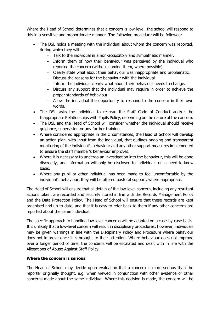Where the Head of School determines that a concern is low-level, the school will respond to this in a sensitive and proportionate manner. The following procedure will be followed:

- The DSL holds a meeting with the individual about whom the concern was reported, during which they will:
	- Talk to the individual in a non-accusatory and sympathetic manner.
	- Inform them of how their behaviour was perceived by the individual who reported the concern (without naming them, where possible).
	- Clearly state what about their behaviour was inappropriate and problematic.
	- Discuss the reasons for the behaviour with the individual.
	- Inform the individual clearly what about their behaviour needs to change.
	- Discuss any support that the individual may require in order to achieve the proper standards of behaviour.
	- Allow the individual the opportunity to respond to the concern in their own words.
- The DSL asks the individual to re-read the Staff Code of Conduct and/or the Inappropriate Relationships with Pupils Policy, depending on the nature of the concern.
- The DSL and the Head of School will consider whether the individual should receive guidance, supervision or any further training.
- Where considered appropriate in the circumstances, the Head of School will develop an action plan, with input from the individual, that outlines ongoing and transparent monitoring of the individual's behaviour and any other support measures implemented to ensure the staff member's behaviour improves.
- Where it is necessary to undergo an investigation into the behaviour, this will be done discreetly, and information will only be disclosed to individuals on a need-to-know basis.
- Where any pupil or other individual has been made to feel uncomfortable by the individual's behaviour, they will be offered pastoral support, where appropriate.

The Head of School will ensure that all details of the low-level concern, including any resultant actions taken, are recorded and securely stored in line with the Records Management Policy and the Data Protection Policy. The Head of School will ensure that these records are kept organised and up-to-date, and that it is easy to refer back to them if any other concerns are reported about the same individual.

The specific approach to handling low-level concerns will be adapted on a case-by-case basis. It is unlikely that a low-level concern will result in disciplinary procedures; however, individuals may be given warnings in line with the Disciplinary Policy and Procedure where behaviour does not improve once it is brought to their attention. Where behaviour does not improve over a longer period of time, the concerns will be escalated and dealt with in line with the Allegations of Abuse Against Staff Policy.

## **Where the concern is serious**

The Head of School may decide upon evaluation that a concern is more serious than the reporter originally thought, e.g. when viewed in conjunction with other evidence or other concerns made about the same individual. Where this decision is made, the concern will be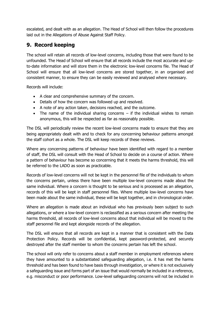escalated, and dealt with as an allegation. The Head of School will then follow the procedures laid out in the Allegations of Abuse Against Staff Policy.

# <span id="page-10-0"></span>**9. Record keeping**

The school will retain all records of low-level concerns, including those that were found to be unfounded. The Head of School will ensure that all records include the most accurate and upto-date information and will store them in the electronic low-level concerns file. The Head of School will ensure that all low-level concerns are stored together, in an organised and consistent manner, to ensure they can be easily reviewed and analysed where necessary.

Records will include:

- A clear and comprehensive summary of the concern.
- Details of how the concern was followed up and resolved.
- A note of any action taken, decisions reached, and the outcome.
- The name of the individual sharing concerns if the individual wishes to remain anonymous, this will be respected as far as reasonably possible.

The DSL will periodically review the recent low-level concerns made to ensure that they are being appropriately dealt with and to check for any concerning behaviour patterns amongst the staff cohort as a whole. The DSL will keep records of these reviews.

Where any concerning patterns of behaviour have been identified with regard to a member of staff, the DSL will consult with the Head of School to decide on a course of action. Where a pattern of behaviour has become so concerning that it meets the harms threshold, this will be referred to the LADO as soon as practicable.

Records of low-level concerns will not be kept in the personnel file of the individuals to whom the concerns pertain, unless there have been multiple low-level concerns made about the same individual. Where a concern is thought to be serious and is processed as an allegation, records of this will be kept in staff personnel files. Where multiple low-level concerns have been made about the same individual, these will be kept together, and in chronological order.

Where an allegation is made about an individual who has previously been subject to such allegations, or where a low-level concern is reclassified as a serious concern after meeting the harms threshold, all records of low-level concerns about that individual will be moved to the staff personnel file and kept alongside records of the allegation.

The DSL will ensure that all records are kept in a manner that is consistent with the Data Protection Policy. Records will be confidential, kept password-protected, and securely destroyed after the staff member to whom the concerns pertain has left the school.

The school will only refer to concerns about a staff member in employment references where they have amounted to a substantiated safeguarding allegation, i.e. it has met the harms threshold and has been found to have basis through investigation, or where it is not exclusively a safeguarding issue and forms part of an issue that would normally be included in a reference, e.g. misconduct or poor performance. Low-level safeguarding concerns will not be included in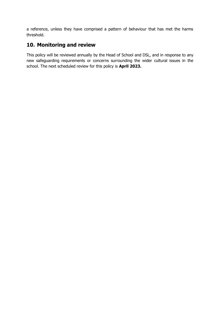a reference, unless they have comprised a pattern of behaviour that has met the harms threshold.

# <span id="page-11-0"></span>**10. Monitoring and review**

This policy will be reviewed annually by the Head of School and DSL, and in response to any new safeguarding requirements or concerns surrounding the wider cultural issues in the school. The next scheduled review for this policy is **April 2023.**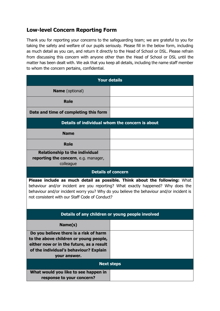# <span id="page-12-0"></span>**Low-level Concern Reporting Form**

Thank you for reporting your concerns to the safeguarding team; we are grateful to you for taking the safety and welfare of our pupils seriously. Please fill in the below form, including as much detail as you can, and return it directly to the Head of School or DSL. Please refrain from discussing this concern with anyone other than the Head of School or DSL until the matter has been dealt with. We ask that you keep all details, including the name staff member to whom the concern pertains, confidential.

| <b>Your details</b>                                                                                                                                                                                                                                                                                                 |  |  |
|---------------------------------------------------------------------------------------------------------------------------------------------------------------------------------------------------------------------------------------------------------------------------------------------------------------------|--|--|
| <b>Name</b> (optional)                                                                                                                                                                                                                                                                                              |  |  |
| <b>Role</b>                                                                                                                                                                                                                                                                                                         |  |  |
| Date and time of completing this form                                                                                                                                                                                                                                                                               |  |  |
| Details of individual whom the concern is about                                                                                                                                                                                                                                                                     |  |  |
| <b>Name</b>                                                                                                                                                                                                                                                                                                         |  |  |
| <b>Role</b>                                                                                                                                                                                                                                                                                                         |  |  |
| <b>Relationship to the individual</b><br>reporting the concern, e.g. manager,<br>colleague                                                                                                                                                                                                                          |  |  |
| <b>Details of concern</b>                                                                                                                                                                                                                                                                                           |  |  |
| <b>Please include as much detail as possible. Think about the following:</b> What<br>behaviour and/or incident are you reporting? What exactly happened? Why does the<br>behaviour and/or incident worry you? Why do you believe the behaviour and/or incident is<br>not consistent with our Staff Code of Conduct? |  |  |
| Details of any children or young people involved                                                                                                                                                                                                                                                                    |  |  |
| Name(s)                                                                                                                                                                                                                                                                                                             |  |  |
| Do you believe there is a risk of harm<br>to the above children or young people,<br>either now or in the future, as a result<br>of the individual's behaviour? Explain<br>your answer.                                                                                                                              |  |  |
| <b>Next steps</b>                                                                                                                                                                                                                                                                                                   |  |  |
| What would you like to see happen in<br>response to your concern?                                                                                                                                                                                                                                                   |  |  |